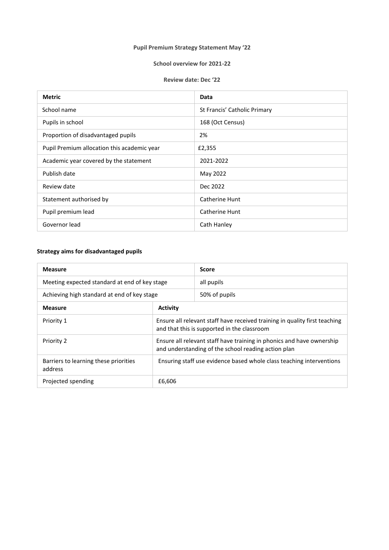# **Pupil Premium Strategy Statement May '22**

### **School overview for 2021-22**

#### **Review date: Dec '22**

| <b>Metric</b>                               | Data                         |
|---------------------------------------------|------------------------------|
| School name                                 | St Francis' Catholic Primary |
| Pupils in school                            | 168 (Oct Census)             |
| Proportion of disadvantaged pupils          | 2%                           |
| Pupil Premium allocation this academic year | £2,355                       |
| Academic year covered by the statement      | 2021-2022                    |
| Publish date                                | May 2022                     |
| Review date                                 | Dec 2022                     |
| Statement authorised by                     | Catherine Hunt               |
| Pupil premium lead                          | Catherine Hunt               |
| Governor lead                               | Cath Hanley                  |

# **Strategy aims for disadvantaged pupils**

| <b>Measure</b>                                   |                                                                                                                              | <b>Score</b>  |
|--------------------------------------------------|------------------------------------------------------------------------------------------------------------------------------|---------------|
| Meeting expected standard at end of key stage    |                                                                                                                              | all pupils    |
| Achieving high standard at end of key stage      |                                                                                                                              | 50% of pupils |
| <b>Measure</b>                                   | <b>Activity</b>                                                                                                              |               |
| Priority 1                                       | Ensure all relevant staff have received training in quality first teaching<br>and that this is supported in the classroom    |               |
| Priority 2                                       | Ensure all relevant staff have training in phonics and have ownership<br>and understanding of the school reading action plan |               |
| Barriers to learning these priorities<br>address | Ensuring staff use evidence based whole class teaching interventions                                                         |               |
| Projected spending                               | £6,606                                                                                                                       |               |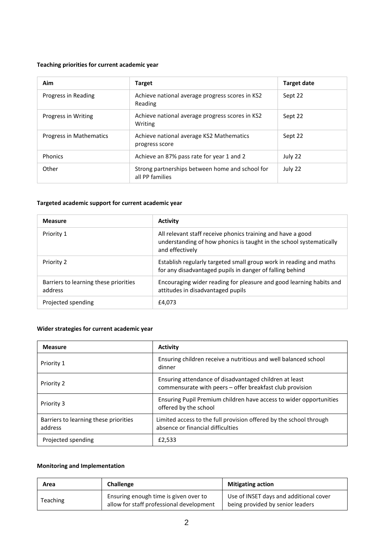### **Teaching priorities for current academic year**

| Aim                            | <b>Target</b>                                                      | <b>Target date</b> |
|--------------------------------|--------------------------------------------------------------------|--------------------|
| Progress in Reading            | Achieve national average progress scores in KS2<br>Reading         | Sept 22            |
| Progress in Writing            | Achieve national average progress scores in KS2<br>Writing         | Sept 22            |
| <b>Progress in Mathematics</b> | Achieve national average KS2 Mathematics<br>progress score         | Sept 22            |
| <b>Phonics</b>                 | Achieve an 87% pass rate for year 1 and 2                          | July 22            |
| Other                          | Strong partnerships between home and school for<br>all PP families | July 22            |

#### **Targeted academic support for current academic year**

| <b>Measure</b>                                   | <b>Activity</b>                                                                                                                                       |
|--------------------------------------------------|-------------------------------------------------------------------------------------------------------------------------------------------------------|
| Priority 1                                       | All relevant staff receive phonics training and have a good<br>understanding of how phonics is taught in the school systematically<br>and effectively |
| Priority 2                                       | Establish regularly targeted small group work in reading and maths<br>for any disadvantaged pupils in danger of falling behind                        |
| Barriers to learning these priorities<br>address | Encouraging wider reading for pleasure and good learning habits and<br>attitudes in disadvantaged pupils                                              |
| Projected spending                               | £4.073                                                                                                                                                |

# **Wider strategies for current academic year**

| <b>Measure</b>                                   | Activity                                                                                                           |
|--------------------------------------------------|--------------------------------------------------------------------------------------------------------------------|
| Priority 1                                       | Ensuring children receive a nutritious and well balanced school<br>dinner                                          |
| Priority 2                                       | Ensuring attendance of disadvantaged children at least<br>commensurate with peers - offer breakfast club provision |
| Priority 3                                       | Ensuring Pupil Premium children have access to wider opportunities<br>offered by the school                        |
| Barriers to learning these priorities<br>address | Limited access to the full provision offered by the school through<br>absence or financial difficulties            |
| Projected spending                               | £2,533                                                                                                             |

### **Monitoring and Implementation**

| Area            | Challenge                                                                         | <b>Mitigating action</b>                                                   |
|-----------------|-----------------------------------------------------------------------------------|----------------------------------------------------------------------------|
| <b>Teaching</b> | Ensuring enough time is given over to<br>allow for staff professional development | Use of INSET days and additional cover<br>being provided by senior leaders |